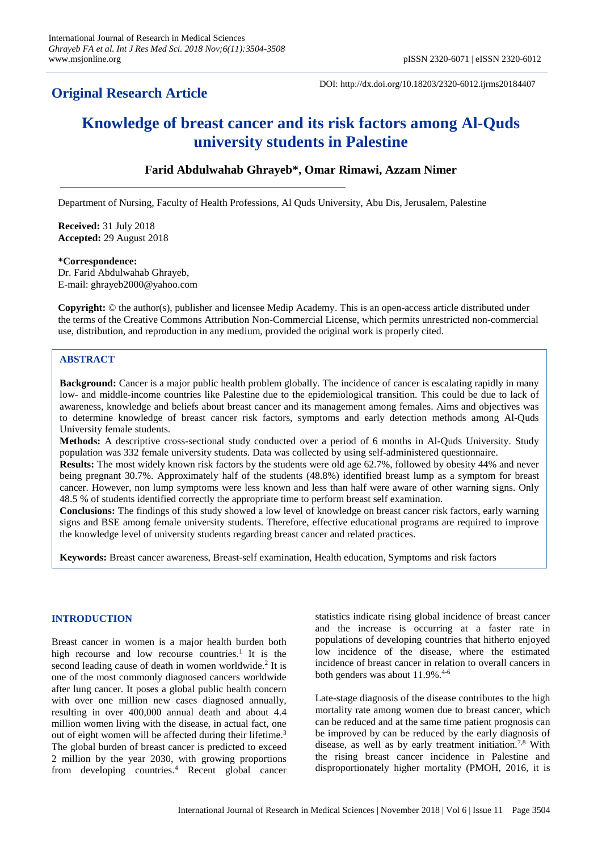## **Original Research Article**

DOI: http://dx.doi.org/10.18203/2320-6012.ijrms20184407

# **Knowledge of breast cancer and its risk factors among Al-Quds university students in Palestine**

## **Farid Abdulwahab Ghrayeb\*, Omar Rimawi, Azzam Nimer**

Department of Nursing, Faculty of Health Professions, Al Quds University, Abu Dis, Jerusalem, Palestine

**Received:** 31 July 2018 **Accepted:** 29 August 2018

#### **\*Correspondence:**

Dr. Farid Abdulwahab Ghrayeb, E-mail: ghrayeb2000@yahoo.com

**Copyright:** © the author(s), publisher and licensee Medip Academy. This is an open-access article distributed under the terms of the Creative Commons Attribution Non-Commercial License, which permits unrestricted non-commercial use, distribution, and reproduction in any medium, provided the original work is properly cited.

## **ABSTRACT**

**Background:** Cancer is a major public health problem globally. The incidence of cancer is escalating rapidly in many low- and middle-income countries like Palestine due to the epidemiological transition. This could be due to lack of awareness, knowledge and beliefs about breast cancer and its management among females. Aims and objectives was to determine knowledge of breast cancer risk factors, symptoms and early detection methods among Al-Quds University female students.

**Methods:** A descriptive cross-sectional study conducted over a period of 6 months in Al-Quds University. Study population was 332 female university students. Data was collected by using self-administered questionnaire.

**Results:** The most widely known risk factors by the students were old age 62.7%, followed by obesity 44% and never being pregnant 30.7%. Approximately half of the students (48.8%) identified breast lump as a symptom for breast cancer. However, non lump symptoms were less known and less than half were aware of other warning signs. Only 48.5 % of students identified correctly the appropriate time to perform breast self examination.

**Conclusions:** The findings of this study showed a low level of knowledge on breast cancer risk factors, early warning signs and BSE among female university students. Therefore, effective educational programs are required to improve the knowledge level of university students regarding breast cancer and related practices.

**Keywords:** Breast cancer awareness, Breast-self examination, Health education, Symptoms and risk factors

## **INTRODUCTION**

Breast cancer in women is a major health burden both high recourse and low recourse countries.<sup>1</sup> It is the second leading cause of death in women worldwide.<sup>2</sup> It is one of the most commonly diagnosed cancers worldwide after lung cancer. It poses a global public health concern with over one million new cases diagnosed annually, resulting in over 400,000 annual death and about 4.4 million women living with the disease, in actual fact, one out of eight women will be affected during their lifetime.<sup>3</sup> The global burden of breast cancer is predicted to exceed 2 million by the year 2030, with growing proportions from developing countries.<sup>4</sup> Recent global cancer statistics indicate rising global incidence of breast cancer and the increase is occurring at a faster rate in populations of developing countries that hitherto enjoyed low incidence of the disease, where the estimated incidence of breast cancer in relation to overall cancers in both genders was about 11.9%.<sup>4-6</sup>

Late-stage diagnosis of the disease contributes to the high mortality rate among women due to breast cancer, which can be reduced and at the same time patient prognosis can be improved by can be reduced by the early diagnosis of disease, as well as by early treatment initiation.7,8 With the rising breast cancer incidence in Palestine and disproportionately higher mortality (PMOH, 2016, it is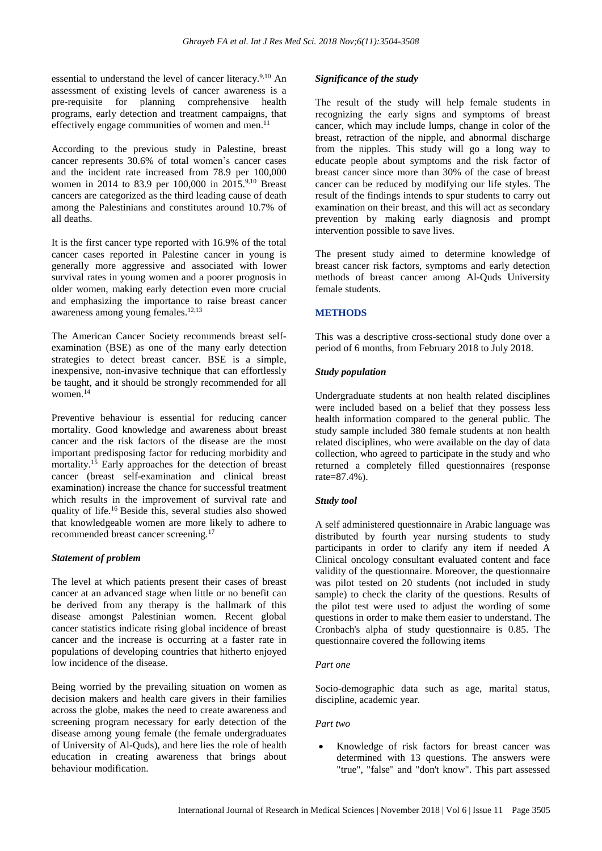essential to understand the level of cancer literacy.<sup>9,10</sup> An assessment of existing levels of cancer awareness is a pre-requisite for planning comprehensive health programs, early detection and treatment campaigns, that effectively engage communities of women and men. $^{11}$ 

According to the previous study in Palestine, breast cancer represents 30.6% of total women's cancer cases and the incident rate increased from 78.9 per 100,000 women in 2014 to 83.9 per 100,000 in 2015.<sup>9,10</sup> Breast cancers are categorized as the third leading cause of death among the Palestinians and constitutes around 10.7% of all deaths.

It is the first cancer type reported with 16.9% of the total cancer cases reported in Palestine cancer in young is generally more aggressive and associated with lower survival rates in young women and a poorer prognosis in older women, making early detection even more crucial and emphasizing the importance to raise breast cancer awareness among young females.12,13

The American Cancer Society recommends breast selfexamination (BSE) as one of the many early detection strategies to detect breast cancer. BSE is a simple, inexpensive, non-invasive technique that can effortlessly be taught, and it should be strongly recommended for all women.<sup>14</sup>

Preventive behaviour is essential for reducing cancer mortality. Good knowledge and awareness about breast cancer and the risk factors of the disease are the most important predisposing factor for reducing morbidity and mortality.<sup>15</sup> Early approaches for the detection of breast cancer (breast self-examination and clinical breast examination) increase the chance for successful treatment which results in the improvement of survival rate and quality of life.<sup>16</sup> Beside this, several studies also showed that knowledgeable women are more likely to adhere to recommended breast cancer screening.<sup>17</sup>

#### *Statement of problem*

The level at which patients present their cases of breast cancer at an advanced stage when little or no benefit can be derived from any therapy is the hallmark of this disease amongst Palestinian women. Recent global cancer statistics indicate rising global incidence of breast cancer and the increase is occurring at a faster rate in populations of developing countries that hitherto enjoyed low incidence of the disease.

Being worried by the prevailing situation on women as decision makers and health care givers in their families across the globe, makes the need to create awareness and screening program necessary for early detection of the disease among young female (the female undergraduates of University of Al-Quds), and here lies the role of health education in creating awareness that brings about behaviour modification.

#### *Significance of the study*

The result of the study will help female students in recognizing the early signs and symptoms of breast cancer, which may include lumps, change in color of the breast, retraction of the nipple, and abnormal discharge from the nipples. This study will go a long way to educate people about symptoms and the risk factor of breast cancer since more than 30% of the case of breast cancer can be reduced by modifying our life styles. The result of the findings intends to spur students to carry out examination on their breast, and this will act as secondary prevention by making early diagnosis and prompt intervention possible to save lives.

The present study aimed to determine knowledge of breast cancer risk factors, symptoms and early detection methods of breast cancer among Al-Quds University female students.

#### **METHODS**

This was a descriptive cross-sectional study done over a period of 6 months, from February 2018 to July 2018.

## *Study population*

Undergraduate students at non health related disciplines were included based on a belief that they possess less health information compared to the general public. The study sample included 380 female students at non health related disciplines, who were available on the day of data collection, who agreed to participate in the study and who returned a completely filled questionnaires (response rate=87.4%).

#### *Study tool*

A self administered questionnaire in Arabic language was distributed by fourth year nursing students to study participants in order to clarify any item if needed A Clinical oncology consultant evaluated content and face validity of the questionnaire. Moreover, the questionnaire was pilot tested on 20 students (not included in study sample) to check the clarity of the questions. Results of the pilot test were used to adjust the wording of some questions in order to make them easier to understand. The Cronbach's alpha of study questionnaire is 0.85. The questionnaire covered the following items

#### *Part one*

Socio-demographic data such as age, marital status, discipline, academic year.

## *Part two*

• Knowledge of risk factors for breast cancer was determined with 13 questions. The answers were "true", "false" and "don't know". This part assessed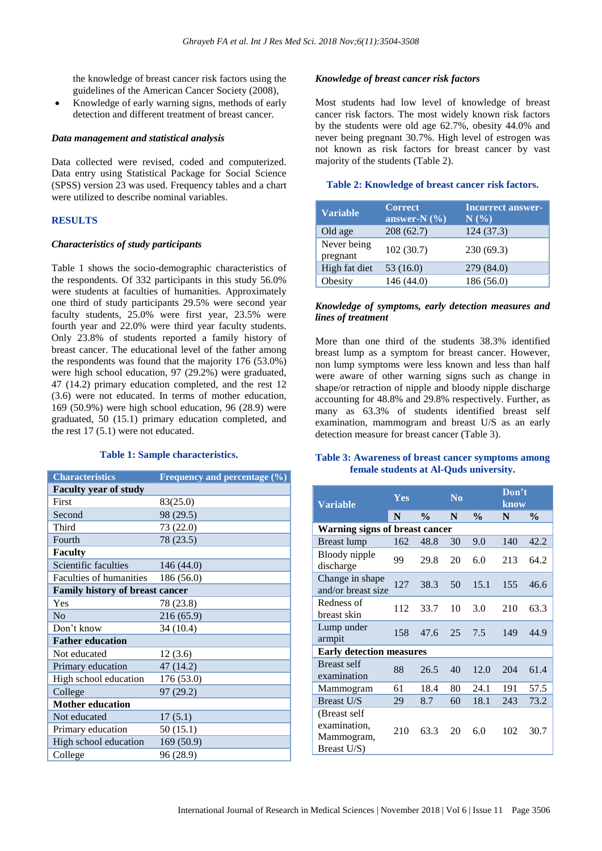the knowledge of breast cancer risk factors using the guidelines of the American Cancer Society (2008),

• Knowledge of early warning signs, methods of early detection and different treatment of breast cancer.

#### *Data management and statistical analysis*

Data collected were revised, coded and computerized. Data entry using Statistical Package for Social Science (SPSS) version 23 was used. Frequency tables and a chart were utilized to describe nominal variables.

#### **RESULTS**

#### *Characteristics of study participants*

Table 1 shows the socio-demographic characteristics of the respondents. Of 332 participants in this study 56.0% were students at faculties of humanities. Approximately one third of study participants 29.5% were second year faculty students, 25.0% were first year, 23.5% were fourth year and 22.0% were third year faculty students. Only 23.8% of students reported a family history of breast cancer. The educational level of the father among the respondents was found that the majority 176 (53.0%) were high school education, 97 (29.2%) were graduated, 47 (14.2) primary education completed, and the rest 12 (3.6) were not educated. In terms of mother education, 169 (50.9%) were high school education, 96 (28.9) were graduated, 50 (15.1) primary education completed, and the rest 17 (5.1) were not educated.

#### **Table 1: Sample characteristics.**

| <b>Characteristics</b>                 | Frequency and percentage (%) |  |  |  |  |
|----------------------------------------|------------------------------|--|--|--|--|
| <b>Faculty year of study</b>           |                              |  |  |  |  |
| First                                  | 83(25.0)                     |  |  |  |  |
| Second                                 | 98 (29.5)                    |  |  |  |  |
| Third                                  | 73 (22.0)                    |  |  |  |  |
| Fourth                                 | 78 (23.5)                    |  |  |  |  |
| <b>Faculty</b>                         |                              |  |  |  |  |
| Scientific faculties                   | 146 (44.0)                   |  |  |  |  |
| Faculties of humanities                | 186 (56.0)                   |  |  |  |  |
| <b>Family history of breast cancer</b> |                              |  |  |  |  |
| Yes                                    | 78 (23.8)                    |  |  |  |  |
| No                                     | 216 (65.9)                   |  |  |  |  |
| Don't know                             | 34 (10.4)                    |  |  |  |  |
| <b>Father education</b>                |                              |  |  |  |  |
| Not educated                           | 12(3.6)                      |  |  |  |  |
| Primary education                      | 47 (14.2)                    |  |  |  |  |
| High school education                  | 176 (53.0)                   |  |  |  |  |
| College                                | 97 (29.2)                    |  |  |  |  |
| <b>Mother education</b>                |                              |  |  |  |  |
| Not educated                           | 17(5.1)                      |  |  |  |  |
| Primary education                      | 50 (15.1)                    |  |  |  |  |
| High school education                  | 169 (50.9)                   |  |  |  |  |
| College                                | 96 (28.9)                    |  |  |  |  |

#### *Knowledge of breast cancer risk factors*

Most students had low level of knowledge of breast cancer risk factors. The most widely known risk factors by the students were old age 62.7%, obesity 44.0% and never being pregnant 30.7%. High level of estrogen was not known as risk factors for breast cancer by vast majority of the students (Table 2).

#### **Table 2: Knowledge of breast cancer risk factors.**

| <b>Variable</b>         | <b>Correct</b><br>answer-N $(\% )$ | <b>Incorrect answer-</b><br>$N(\%)$ |
|-------------------------|------------------------------------|-------------------------------------|
| Old age                 | 208(62.7)                          | 124(37.3)                           |
| Never being<br>pregnant | 102(30.7)                          | 230(69.3)                           |
| High fat diet           | 53 (16.0)                          | 279 (84.0)                          |
| Obesity                 | 146(44.0)                          | 186 (56.0)                          |

#### *Knowledge of symptoms, early detection measures and lines of treatment*

More than one third of the students 38.3% identified breast lump as a symptom for breast cancer. However, non lump symptoms were less known and less than half were aware of other warning signs such as change in shape/or retraction of nipple and bloody nipple discharge accounting for 48.8% and 29.8% respectively. Further, as many as 63.3% of students identified breast self examination, mammogram and breast U/S as an early detection measure for breast cancer (Table 3).

#### **Table 3: Awareness of breast cancer symptoms among female students at Al-Quds university.**

| <b>Variable</b>                                           | Yes |               | N <sub>0</sub> |               | Don't<br>know |               |  |  |
|-----------------------------------------------------------|-----|---------------|----------------|---------------|---------------|---------------|--|--|
|                                                           | N   | $\frac{0}{0}$ | N              | $\frac{0}{0}$ | N             | $\frac{0}{0}$ |  |  |
| <b>Warning signs of breast cancer</b>                     |     |               |                |               |               |               |  |  |
| Breast lump                                               | 162 | 48.8          | 30             | 9.0           | 140           | 42.2          |  |  |
| Bloody nipple<br>discharge                                | 99  | 29.8          | 20             | 6.0           | 213           | 64.2          |  |  |
| Change in shape<br>and/or breast size                     | 127 | 38.3          | 50             | 15.1          | 155           | 46.6          |  |  |
| Redness of<br>breast skin                                 | 112 | 33.7          | 10             | 3.0           | 210           | 63.3          |  |  |
| Lump under<br>armpit                                      | 158 | 47.6          | 25             | 7.5           | 149           | 44.9          |  |  |
| <b>Early detection measures</b>                           |     |               |                |               |               |               |  |  |
| Breast self<br>examination                                | 88  | 26.5          | 40             | 12.0          | 204           | 61.4          |  |  |
| Mammogram                                                 | 61  | 18.4          | 80             | 24.1          | 191           | 57.5          |  |  |
| <b>Breast U/S</b>                                         | 29  | 8.7           | 60             | 18.1          | 243           | 73.2          |  |  |
| (Breast self<br>examination,<br>Mammogram,<br>Breast U/S) | 210 | 63.3          | 20             | 6.0           | 102           | 30.7          |  |  |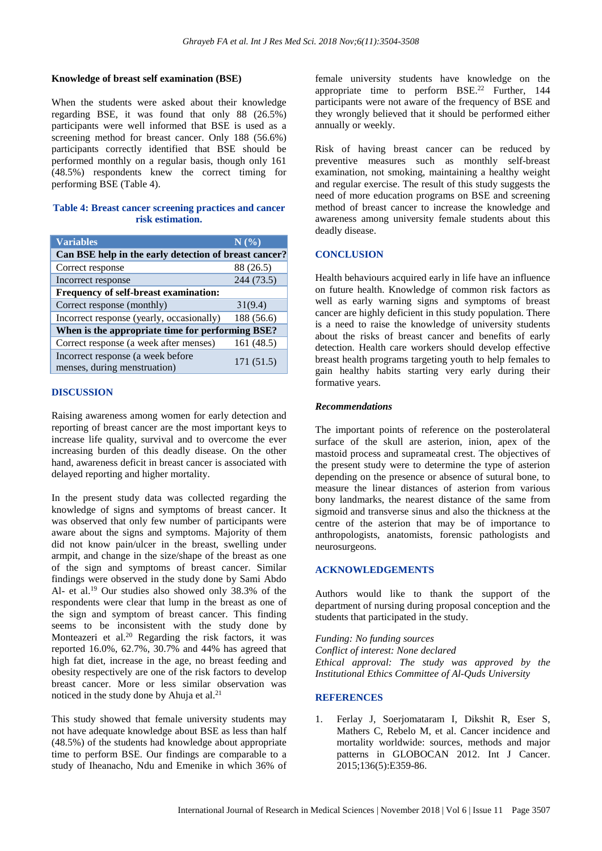## **Knowledge of breast self examination (BSE)**

When the students were asked about their knowledge regarding BSE, it was found that only 88 (26.5%) participants were well informed that BSE is used as a screening method for breast cancer. Only 188 (56.6%) participants correctly identified that BSE should be performed monthly on a regular basis, though only 161 (48.5%) respondents knew the correct timing for performing BSE (Table 4).

## **Table 4: Breast cancer screening practices and cancer risk estimation.**

| <b>Variables</b>                                                  | N(%        |  |  |  |  |  |
|-------------------------------------------------------------------|------------|--|--|--|--|--|
| Can BSE help in the early detection of breast cancer?             |            |  |  |  |  |  |
| Correct response                                                  | 88 (26.5)  |  |  |  |  |  |
| Incorrect response                                                | 244 (73.5) |  |  |  |  |  |
| Frequency of self-breast examination:                             |            |  |  |  |  |  |
| Correct response (monthly)                                        | 31(9.4)    |  |  |  |  |  |
| Incorrect response (yearly, occasionally)                         | 188 (56.6) |  |  |  |  |  |
| When is the appropriate time for performing BSE?                  |            |  |  |  |  |  |
| Correct response (a week after menses)                            | 161 (48.5) |  |  |  |  |  |
| Incorrect response (a week before<br>menses, during menstruation) | 171 (51.5) |  |  |  |  |  |

## **DISCUSSION**

Raising awareness among women for early detection and reporting of breast cancer are the most important keys to increase life quality, survival and to overcome the ever increasing burden of this deadly disease. On the other hand, awareness deficit in breast cancer is associated with delayed reporting and higher mortality.

In the present study data was collected regarding the knowledge of signs and symptoms of breast cancer. It was observed that only few number of participants were aware about the signs and symptoms. Majority of them did not know pain/ulcer in the breast, swelling under armpit, and change in the size/shape of the breast as one of the sign and symptoms of breast cancer. Similar findings were observed in the study done by Sami Abdo Al- et al.<sup>19</sup> Our studies also showed only 38.3% of the respondents were clear that lump in the breast as one of the sign and symptom of breast cancer. This finding seems to be inconsistent with the study done by Monteazeri et al.<sup>20</sup> Regarding the risk factors, it was reported 16.0%, 62.7%, 30.7% and 44% has agreed that high fat diet, increase in the age, no breast feeding and obesity respectively are one of the risk factors to develop breast cancer. More or less similar observation was noticed in the study done by Ahuja et al. $^{21}$ 

This study showed that female university students may not have adequate knowledge about BSE as less than half (48.5%) of the students had knowledge about appropriate time to perform BSE. Our findings are comparable to a study of Iheanacho, Ndu and Emenike in which 36% of

female university students have knowledge on the appropriate time to perform  $BSE<sup>22</sup>$  Further, 144 participants were not aware of the frequency of BSE and they wrongly believed that it should be performed either annually or weekly.

Risk of having breast cancer can be reduced by preventive measures such as monthly self-breast examination, not smoking, maintaining a healthy weight and regular exercise. The result of this study suggests the need of more education programs on BSE and screening method of breast cancer to increase the knowledge and awareness among university female students about this deadly disease.

## **CONCLUSION**

Health behaviours acquired early in life have an influence on future health. Knowledge of common risk factors as well as early warning signs and symptoms of breast cancer are highly deficient in this study population. There is a need to raise the knowledge of university students about the risks of breast cancer and benefits of early detection. Health care workers should develop effective breast health programs targeting youth to help females to gain healthy habits starting very early during their formative years.

## *Recommendations*

The important points of reference on the posterolateral surface of the skull are asterion, inion, apex of the mastoid process and suprameatal crest. The objectives of the present study were to determine the type of asterion depending on the presence or absence of sutural bone, to measure the linear distances of asterion from various bony landmarks, the nearest distance of the same from sigmoid and transverse sinus and also the thickness at the centre of the asterion that may be of importance to anthropologists, anatomists, forensic pathologists and neurosurgeons.

## **ACKNOWLEDGEMENTS**

Authors would like to thank the support of the department of nursing during proposal conception and the students that participated in the study.

*Funding: No funding sources Conflict of interest: None declared Ethical approval: The study was approved by the Institutional Ethics Committee of Al-Quds University*

## **REFERENCES**

1. Ferlay J, Soerjomataram I, Dikshit R, Eser S, Mathers C, Rebelo M, et al. Cancer incidence and mortality worldwide: sources, methods and major patterns in GLOBOCAN 2012. Int J Cancer. 2015;136(5):E359-86.